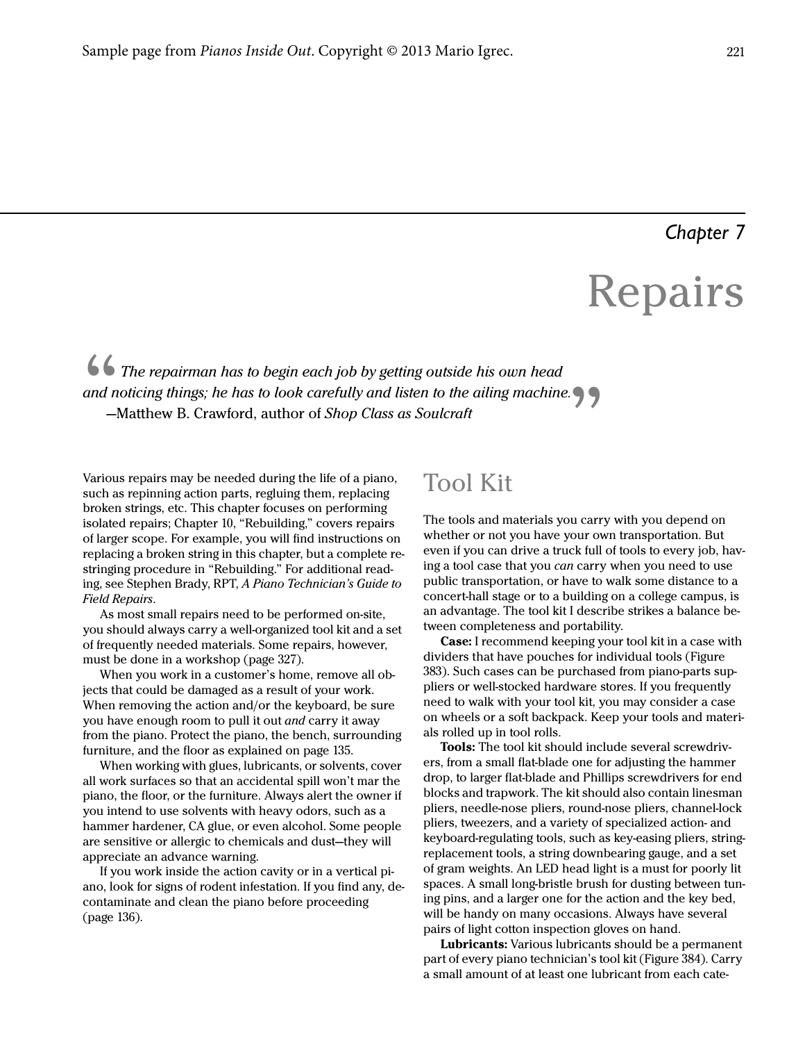## *Chapter 7*

# Repairs

The repairman has to begin each job by getting outside his own head<br>and noticing things; he has to look carefully and listen to the ailing machine<br>—Matthew B. Crawford, author of Shop Class as Soulcraft and noticing things; he has to look carefully and listen to the ailing machine.

Various repairs may be needed during the life of a piano, such as repinning action parts, regluing them, replacing broken strings, etc. This chapter focuses on performing isolated repairs; Chapter 10, "Rebuilding," covers repairs of larger scope. For example, you will find instructions on replacing a broken string in this chapter, but a complete restringing procedure in "Rebuilding." For additional reading, see Stephen Brady, RPT, A Piano Technician's Guide to Field Repairs.

As most small repairs need to be performed on-site, you should always carry a well-organized tool kit and a set of frequently needed materials. Some repairs, however, must be done in a workshop (page 327).

When you work in a customer's home, remove all objects that could be damaged as a result of your work. When removing the action and/or the keyboard, be sure you have enough room to pull it out and carry it away from the piano. Protect the piano, the bench, surrounding furniture, and the floor as explained on page 135.

When working with glues, lubricants, or solvents, cover all work surfaces so that an accidental spill won't mar the piano, the floor, or the furniture. Always alert the owner if you intend to use solvents with heavy odors, such as a hammer hardener, CA glue, or even alcohol. Some people are sensitive or allergic to chemicals and dust—they will appreciate an advance warning.

If you work inside the action cavity or in a vertical piano, look for signs of rodent infestation. If you find any, decontaminate and clean the piano before proceeding (page 136).

# **Tool Kit**

The tools and materials you carry with you depend on whether or not you have your own transportation. But even if you can drive a truck full of tools to every job, having a tool case that you can carry when you need to use public transportation, or have to walk some distance to a concert-hall stage or to a building on a college campus, is an advantage. The tool kit I describe strikes a balance between completeness and portability.

Case: I recommend keeping your tool kit in a case with dividers that have pouches for individual tools (Figure 383). Such cases can be purchased from piano-parts suppliers or well-stocked hardware stores. If you frequently need to walk with your tool kit, you may consider a case on wheels or a soft backpack. Keep your tools and materials rolled up in tool rolls.

Tools: The tool kit should include several screwdrivers, from a small flat-blade one for adjusting the hammer drop, to larger flat-blade and Phillips screwdrivers for end blocks and trapwork. The kit should also contain linesman pliers, needle-nose pliers, round-nose pliers, channel-lock pliers, tweezers, and a variety of specialized action- and keyboard-regulating tools, such as key-easing pliers, stringreplacement tools, a string downbearing gauge, and a set of gram weights. An LED head light is a must for poorly lit spaces. A small long-bristle brush for dusting between tuning pins, and a larger one for the action and the key bed, will be handy on many occasions. Always have several pairs of light cotton inspection gloves on hand.

Lubricants: Various lubricants should be a permanent part of every piano technician's tool kit (Figure 384). Carry a small amount of at least one lubricant from each cate-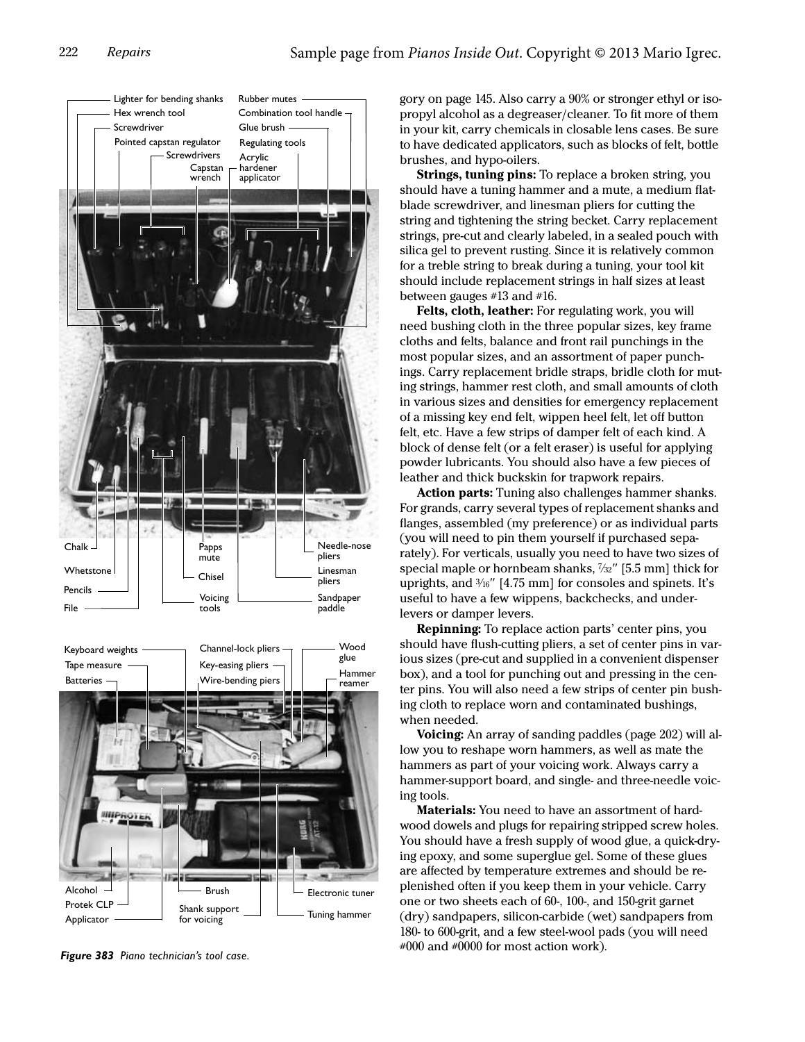

gory on page 145. Also carry a 90% or stronger ethyl or isopropyl alcohol as a degreaser/cleaner. To fit more of them in your kit, carry chemicals in closable lens cases. Be sure to have dedicated applicators, such as blocks of felt, bottle brushes, and hypo-oilers.

Strings, tuning pins: To replace a broken string, you should have a tuning hammer and a mute, a medium flatblade screwdriver, and linesman pliers for cutting the string and tightening the string becket. Carry replacement strings, pre-cut and clearly labeled, in a sealed pouch with silica gel to prevent rusting. Since it is relatively common for a treble string to break during a tuning, your tool kit should include replacement strings in half sizes at least between gauges #13 and #16.

Felts, cloth, leather: For regulating work, you will need bushing cloth in the three popular sizes, key frame cloths and felts, balance and front rail punchings in the most popular sizes, and an assortment of paper punchings. Carry replacement bridle straps, bridle cloth for muting strings, hammer rest cloth, and small amounts of cloth in various sizes and densities for emergency replacement of a missing key end felt, wippen heel felt, let off button felt, etc. Have a few strips of damper felt of each kind. A block of dense felt (or a felt eraser) is useful for applying powder lubricants. You should also have a few pieces of leather and thick buckskin for trapwork repairs.

Action parts: Tuning also challenges hammer shanks. For grands, carry several types of replacement shanks and flanges, assembled (my preference) or as individual parts (you will need to pin them yourself if purchased separately). For verticals, usually you need to have two sizes of special maple or hornbeam shanks, <sup>7</sup> /32" [5.5 mm] thick for uprights, and  $\frac{3}{16}$ " [4.75 mm] for consoles and spinets. It's useful to have a few wippens, backchecks, and underlevers or damper levers.

Repinning: To replace action parts' center pins, you should have flush-cutting pliers, a set of center pins in various sizes (pre-cut and supplied in a convenient dispenser box), and a tool for punching out and pressing in the center pins. You will also need a few strips of center pin bushing cloth to replace worn and contaminated bushings, when needed.

**Voicing:** An array of sanding paddles (page 202) will allow you to reshape worn hammers, as well as mate the hammers as part of your voicing work. Always carry a hammer-support board, and single- and three-needle voicing tools.

Materials: You need to have an assortment of hardwood dowels and plugs for repairing stripped screw holes. You should have a fresh supply of wood glue, a quick-drying epoxy, and some superglue gel. Some of these glues are affected by temperature extremes and should be replenished often if you keep them in your vehicle. Carry one or two sheets each of 60-, 100-, and 150-grit garnet (dry) sandpapers, silicon-carbide (wet) sandpapers from 180- to 600-grit, and a few steel-wool pads (you will need #000 and #0000 for most action work). *Figure 383 Piano technician's tool case.*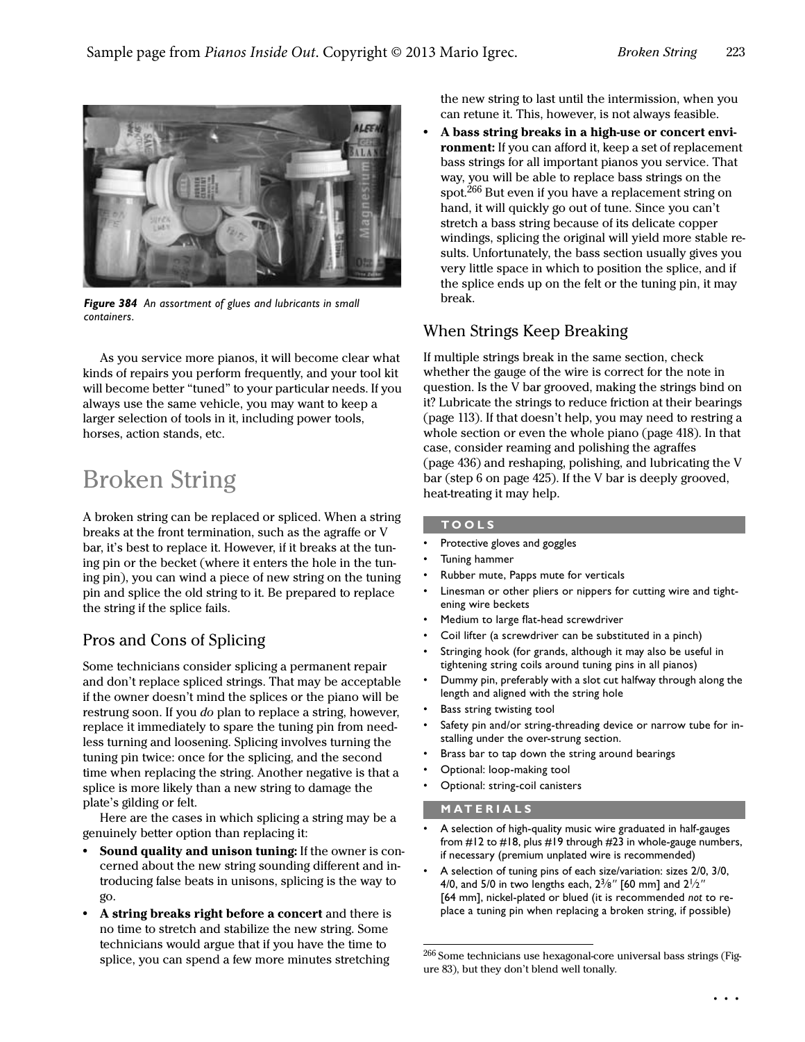

*Figure 384 An assortment of glues and lubricants in small containers.*

As you service more pianos, it will become clear what kinds of repairs you perform frequently, and your tool kit will become better "tuned" to your particular needs. If you always use the same vehicle, you may want to keep a larger selection of tools in it, including power tools, horses, action stands, etc.

# Broken String

A broken string can be replaced or spliced. When a string breaks at the front termination, such as the agraffe or V bar, it's best to replace it. However, if it breaks at the tuning pin or the becket (where it enters the hole in the tuning pin), you can wind a piece of new string on the tuning pin and splice the old string to it. Be prepared to replace the string if the splice fails.

### Pros and Cons of Splicing

Some technicians consider splicing a permanent repair and don't replace spliced strings. That may be acceptable if the owner doesn't mind the splices or the piano will be restrung soon. If you *do* plan to replace a string, however, replace it immediately to spare the tuning pin from needless turning and loosening. Splicing involves turning the tuning pin twice: once for the splicing, and the second time when replacing the string. Another negative is that a splice is more likely than a new string to damage the plate's gilding or felt.

Here are the cases in which splicing a string may be a genuinely better option than replacing it:

- **•** Sound quality and unison tuning: If the owner is concerned about the new string sounding different and introducing false beats in unisons, splicing is the way to go.
- **•** A string breaks right before a concert and there is no time to stretch and stabilize the new string. Some technicians would argue that if you have the time to splice, you can spend a few more minutes stretching

the new string to last until the intermission, when you can retune it. This, however, is not always feasible.

**•** A bass string breaks in a high-use or concert environment: If you can afford it, keep a set of replacement bass strings for all important pianos you service. That way, you will be able to replace bass strings on the spot.266 But even if you have a replacement string on hand, it will quickly go out of tune. Since you can't stretch a bass string because of its delicate copper windings, splicing the original will yield more stable results. Unfortunately, the bass section usually gives you very little space in which to position the splice, and if the splice ends up on the felt or the tuning pin, it may break.

### When Strings Keep Breaking

If multiple strings break in the same section, check whether the gauge of the wire is correct for the note in question. Is the V bar grooved, making the strings bind on it? Lubricate the strings to reduce friction at their bearings (page 113). If that doesn't help, you may need to restring a whole section or even the whole piano (page 418). In that case, consider reaming and polishing the agraffes (page 436) and reshaping, polishing, and lubricating the V bar (step 6 on page 425). If the V bar is deeply grooved, heat-treating it may help.

#### **TOOLS**

- Protective gloves and goggles
- Tuning hammer
- Rubber mute, Papps mute for verticals
- Linesman or other pliers or nippers for cutting wire and tightening wire beckets
- Medium to large flat-head screwdriver
- Coil lifter (a screwdriver can be substituted in a pinch)
- Stringing hook (for grands, although it may also be useful in tightening string coils around tuning pins in all pianos)
- Dummy pin, preferably with a slot cut halfway through along the length and aligned with the string hole
- Bass string twisting tool
- Safety pin and/or string-threading device or narrow tube for installing under the over-strung section.
- Brass bar to tap down the string around bearings
- Optional: loop-making tool
- Optional: string-coil canisters

#### **MATERIALS**

- A selection of high-quality music wire graduated in half-gauges from #12 to #18, plus #19 through #23 in whole-gauge numbers, if necessary (premium unplated wire is recommended)
- A selection of tuning pins of each size/variation: sizes 2/0, 3/0, 4/0, and 5/0 in two lengths each,  $2\frac{3}{8}$ " [60 mm] and  $2\frac{1}{2}$ " [64 mm], nickel-plated or blued (it is recommended *not* to replace a tuning pin when replacing a broken string, if possible)

 $^{266}$  Some technicians use hexagonal-core universal bass strings (Figure 83), but they don't blend well tonally.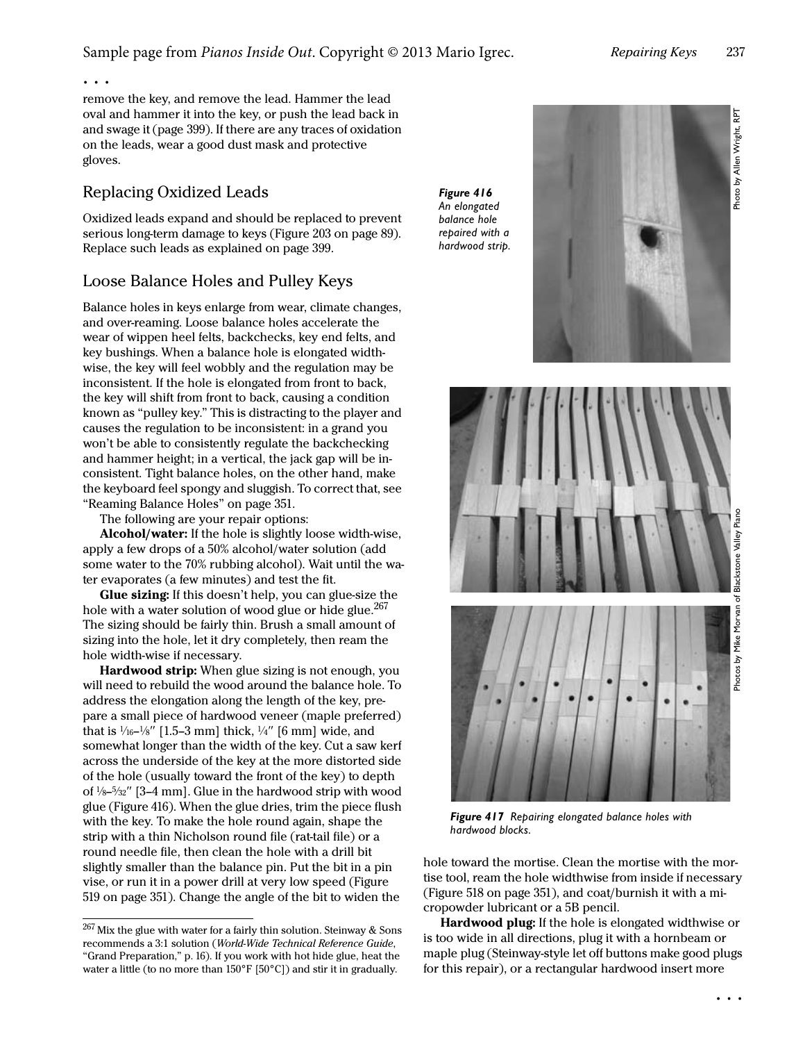Photo by Allen Wright, RPT Photo by Allen Wright, RPT

. . .

remove the key, and remove the lead. Hammer the lead oval and hammer it into the key, or push the lead back in and swage it (page 399). If there are any traces of oxidation on the leads, wear a good dust mask and protective gloves.

#### Replacing Oxidized Leads

Oxidized leads expand and should be replaced to prevent serious long-term damage to keys (Figure 203 on page 89). Replace such leads as explained on page 399.

### Loose Balance Holes and Pulley Keys

Balance holes in keys enlarge from wear, climate changes, and over-reaming. Loose balance holes accelerate the wear of wippen heel felts, backchecks, key end felts, and key bushings. When a balance hole is elongated widthwise, the key will feel wobbly and the regulation may be inconsistent. If the hole is elongated from front to back, the key will shift from front to back, causing a condition known as "pulley key." This is distracting to the player and causes the regulation to be inconsistent: in a grand you won't be able to consistently regulate the backchecking and hammer height; in a vertical, the jack gap will be inconsistent. Tight balance holes, on the other hand, make the keyboard feel spongy and sluggish. To correct that, see "Reaming Balance Holes" on page 351.

The following are your repair options:

Alcohol/water: If the hole is slightly loose width-wise, apply a few drops of a 50% alcohol/water solution (add some water to the 70% rubbing alcohol). Wait until the water evaporates (a few minutes) and test the fit.

Glue sizing: If this doesn't help, you can glue-size the hole with a water solution of wood glue or hide glue.<sup>267</sup> The sizing should be fairly thin. Brush a small amount of sizing into the hole, let it dry completely, then ream the hole width-wise if necessary.

Hardwood strip: When glue sizing is not enough, you will need to rebuild the wood around the balance hole. To address the elongation along the length of the key, prepare a small piece of hardwood veneer (maple preferred) that is  $\frac{1}{16}$ – $\frac{1}{8}$ " [1.5–3 mm] thick,  $\frac{1}{4}$ " [6 mm] wide, and somewhat longer than the width of the key. Cut a saw kerf across the underside of the key at the more distorted side of the hole (usually toward the front of the key) to depth of <sup>1</sup> /8–<sup>5</sup> /32" [3–4 mm]. Glue in the hardwood strip with wood glue ([Figure 416](#page-3-0)). When the glue dries, trim the piece flush with the key. To make the hole round again, shape the strip with a thin Nicholson round file (rat-tail file) or a round needle file, then clean the hole with a drill bit slightly smaller than the balance pin. Put the bit in a pin vise, or run it in a power drill at very low speed (Figure 519 on page 351). Change the angle of the bit to widen the

<span id="page-3-0"></span>*Figure 416 An elongated balance hole repaired with a hardwood strip.*



*Figure 417 Repairing elongated balance holes with hardwood blocks.*

hole toward the mortise. Clean the mortise with the mortise tool, ream the hole widthwise from inside if necessary (Figure 518 on page 351), and coat/burnish it with a micropowder lubricant or a 5B pencil.

Hardwood plug: If the hole is elongated widthwise or is too wide in all directions, plug it with a hornbeam or maple plug (Steinway-style let off buttons make good plugs for this repair), or a rectangular hardwood insert more

 $^{267}\rm\,$  Mix the glue with water for a fairly thin solution. Steinway & Sons recommends a 3:1 solution (World-Wide Technical Reference Guide, "Grand Preparation," p. 16). If you work with hot hide glue, heat the water a little (to no more than 150°F [50°C]) and stir it in gradually.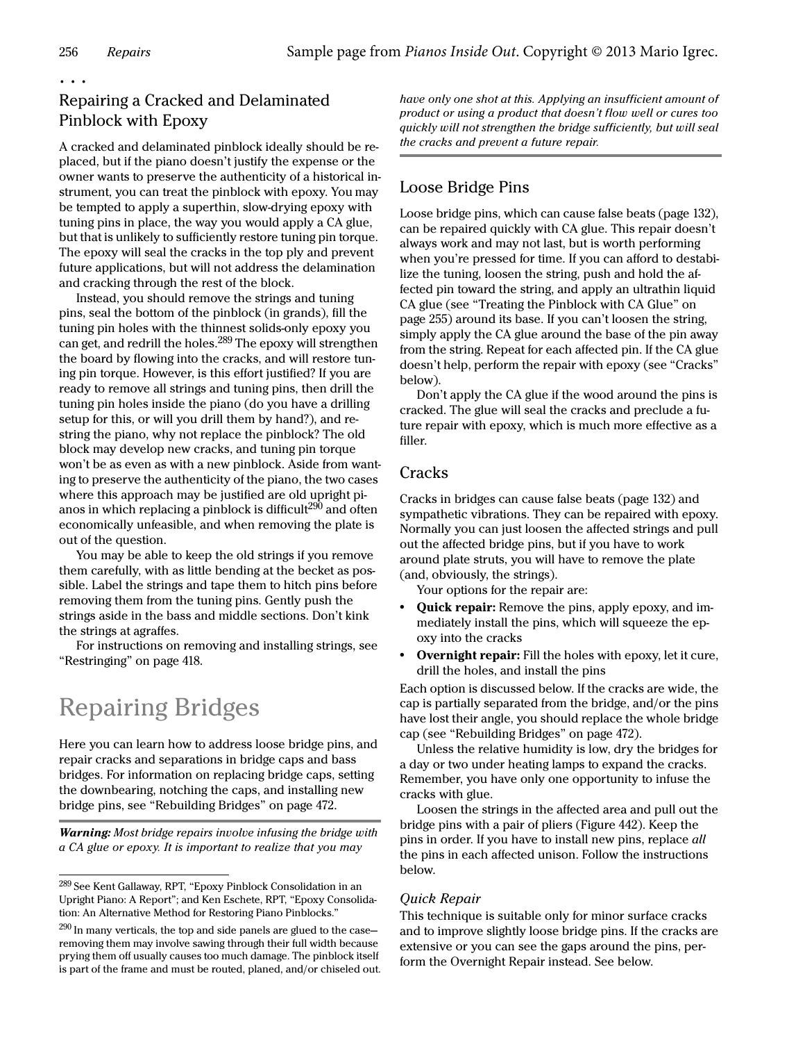. . .

## Repairing a Cracked and Delaminated Pinblock with Epoxy

A cracked and delaminated pinblock ideally should be replaced, but if the piano doesn't justify the expense or the owner wants to preserve the authenticity of a historical instrument, you can treat the pinblock with epoxy. You may be tempted to apply a superthin, slow-drying epoxy with tuning pins in place, the way you would apply a CA glue, but that is unlikely to sufficiently restore tuning pin torque. The epoxy will seal the cracks in the top ply and prevent future applications, but will not address the delamination and cracking through the rest of the block.

Instead, you should remove the strings and tuning pins, seal the bottom of the pinblock (in grands), fill the tuning pin holes with the thinnest solids-only epoxy you can get, and redrill the holes.<sup>289</sup> The epoxy will strengthen the board by flowing into the cracks, and will restore tuning pin torque. However, is this effort justified? If you are ready to remove all strings and tuning pins, then drill the tuning pin holes inside the piano (do you have a drilling setup for this, or will you drill them by hand?), and restring the piano, why not replace the pinblock? The old block may develop new cracks, and tuning pin torque won't be as even as with a new pinblock. Aside from wanting to preserve the authenticity of the piano, the two cases where this approach may be justified are old upright pianos in which replacing a pinblock is difficult $^{290}$  and often economically unfeasible, and when removing the plate is out of the question.

You may be able to keep the old strings if you remove them carefully, with as little bending at the becket as possible. Label the strings and tape them to hitch pins before removing them from the tuning pins. Gently push the strings aside in the bass and middle sections. Don't kink the strings at agraffes.

For instructions on removing and installing strings, see "Restringing" on page 418.

# Repairing Bridges

Here you can learn how to address loose bridge pins, and repair cracks and separations in bridge caps and bass bridges. For information on replacing bridge caps, setting the downbearing, notching the caps, and installing new bridge pins, see "Rebuilding Bridges" on page 472.

Warning: Most bridge repairs involve infusing the bridge with a CA glue or epoxy. It is important to realize that you may

have only one shot at this. Applying an insufficient amount of product or using a product that doesn't flow well or cures too quickly will not strengthen the bridge sufficiently, but will seal the cracks and prevent a future repair.

## Loose Bridge Pins

Loose bridge pins, which can cause false beats (page 132), can be repaired quickly with CA glue. This repair doesn't always work and may not last, but is worth performing when you're pressed for time. If you can afford to destabilize the tuning, loosen the string, push and hold the affected pin toward the string, and apply an ultrathin liquid CA glue (see ["Treating the Pinblock with CA Glue" on](#page--1-0)  [page 255\)](#page--1-0) around its base. If you can't loosen the string, simply apply the CA glue around the base of the pin away from the string. Repeat for each affected pin. If the CA glue doesn't help, perform the repair with epoxy (see ["Cracks"](#page-4-0) below).

Don't apply the CA glue if the wood around the pins is cracked. The glue will seal the cracks and preclude a future repair with epoxy, which is much more effective as a filler.

#### <span id="page-4-0"></span>**Cracks**

Cracks in bridges can cause false beats (page 132) and sympathetic vibrations. They can be repaired with epoxy. Normally you can just loosen the affected strings and pull out the affected bridge pins, but if you have to work around plate struts, you will have to remove the plate (and, obviously, the strings).

Your options for the repair are:

- **•** Quick repair: Remove the pins, apply epoxy, and immediately install the pins, which will squeeze the epoxy into the cracks
- **•** Overnight repair: Fill the holes with epoxy, let it cure, drill the holes, and install the pins

Each option is discussed below. If the cracks are wide, the cap is partially separated from the bridge, and/or the pins have lost their angle, you should replace the whole bridge cap (see "Rebuilding Bridges" on page 472).

Unless the relative humidity is low, dry the bridges for a day or two under heating lamps to expand the cracks. Remember, you have only one opportunity to infuse the cracks with glue.

Loosen the strings in the affected area and pull out the bridge pins with a pair of pliers (Figure 442). Keep the pins in order. If you have to install new pins, replace all the pins in each affected unison. Follow the instructions below.

#### Quick Repair

This technique is suitable only for minor surface cracks and to improve slightly loose bridge pins. If the cracks are extensive or you can see the gaps around the pins, perform the [Overnight Repair](#page-5-0) instead. See below.

<sup>&</sup>lt;sup>289</sup> See Kent Gallaway, RPT, "Epoxy Pinblock Consolidation in an Upright Piano: A Report"; and Ken Eschete, RPT, "Epoxy Consolidation: An Alternative Method for Restoring Piano Pinblocks."

 $290$  In many verticals, the top and side panels are glued to the caseremoving them may involve sawing through their full width because prying them off usually causes too much damage. The pinblock itself is part of the frame and must be routed, planed, and/or chiseled out.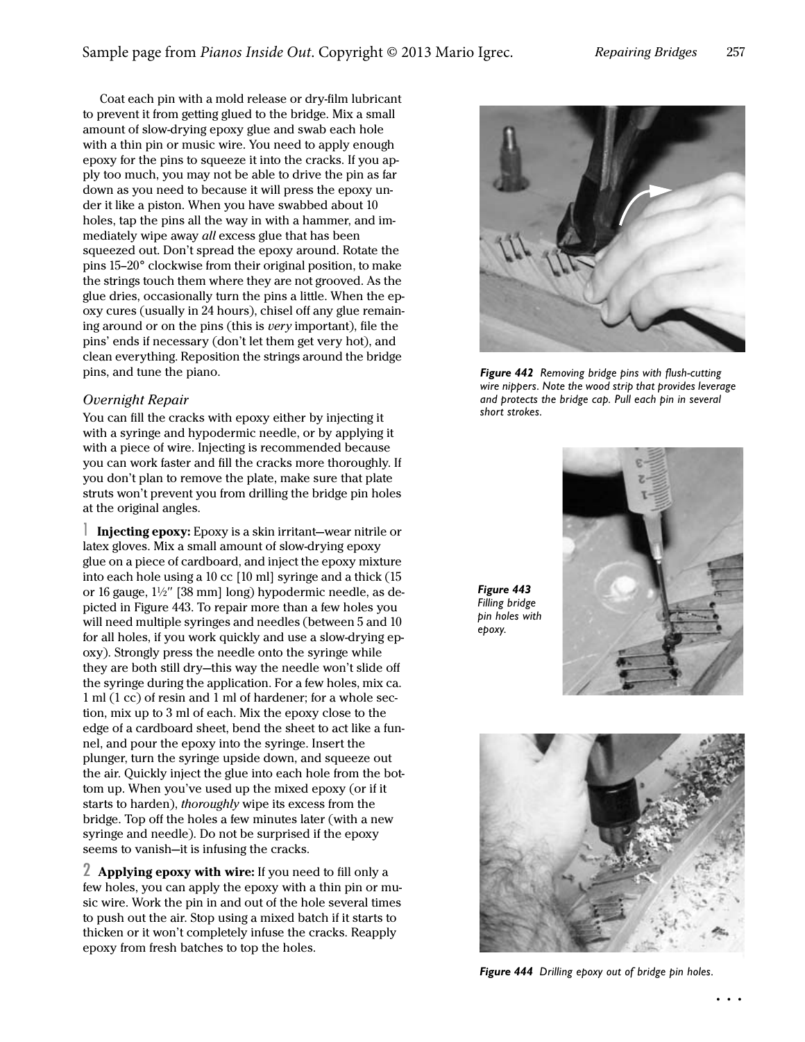Coat each pin with a mold release or dry-film lubricant to prevent it from getting glued to the bridge. Mix a small amount of slow-drying epoxy glue and swab each hole with a thin pin or music wire. You need to apply enough epoxy for the pins to squeeze it into the cracks. If you apply too much, you may not be able to drive the pin as far down as you need to because it will press the epoxy under it like a piston. When you have swabbed about 10 holes, tap the pins all the way in with a hammer, and immediately wipe away all excess glue that has been squeezed out. Don't spread the epoxy around. Rotate the pins 15–20° clockwise from their original position, to make the strings touch them where they are not grooved. As the glue dries, occasionally turn the pins a little. When the epoxy cures (usually in 24 hours), chisel off any glue remaining around or on the pins (this is very important), file the pins' ends if necessary (don't let them get very hot), and clean everything. Reposition the strings around the bridge pins, and tune the piano.

#### <span id="page-5-0"></span>Overnight Repair

You can fill the cracks with epoxy either by injecting it with a syringe and hypodermic needle, or by applying it with a piece of wire. Injecting is recommended because you can work faster and fill the cracks more thoroughly. If you don't plan to remove the plate, make sure that plate struts won't prevent you from drilling the bridge pin holes at the original angles.

1 Injecting epoxy: Epoxy is a skin irritant—wear nitrile or latex gloves. Mix a small amount of slow-drying epoxy glue on a piece of cardboard, and inject the epoxy mixture into each hole using a 10 cc [10 ml] syringe and a thick (15 or 16 gauge, 1<sup>1</sup> /2" [38 mm] long) hypodermic needle, as depicted in Figure 443. To repair more than a few holes you will need multiple syringes and needles (between 5 and 10 for all holes, if you work quickly and use a slow-drying epoxy). Strongly press the needle onto the syringe while they are both still dry—this way the needle won't slide off the syringe during the application. For a few holes, mix ca. 1 ml (1 cc) of resin and 1 ml of hardener; for a whole section, mix up to 3 ml of each. Mix the epoxy close to the edge of a cardboard sheet, bend the sheet to act like a funnel, and pour the epoxy into the syringe. Insert the plunger, turn the syringe upside down, and squeeze out the air. Quickly inject the glue into each hole from the bottom up. When you've used up the mixed epoxy (or if it starts to harden), thoroughly wipe its excess from the bridge. Top off the holes a few minutes later (with a new syringe and needle). Do not be surprised if the epoxy seems to vanish—it is infusing the cracks.

2 Applying epoxy with wire: If you need to fill only a few holes, you can apply the epoxy with a thin pin or music wire. Work the pin in and out of the hole several times to push out the air. Stop using a mixed batch if it starts to thicken or it won't completely infuse the cracks. Reapply epoxy from fresh batches to top the holes.



*Figure 442 Removing bridge pins with flush-cutting wire nippers. Note the wood strip that provides leverage and protects the bridge cap. Pull each pin in several short strokes.*

*Figure 443 Filling bridge pin holes with epoxy.*





*Figure 444 Drilling epoxy out of bridge pin holes.*